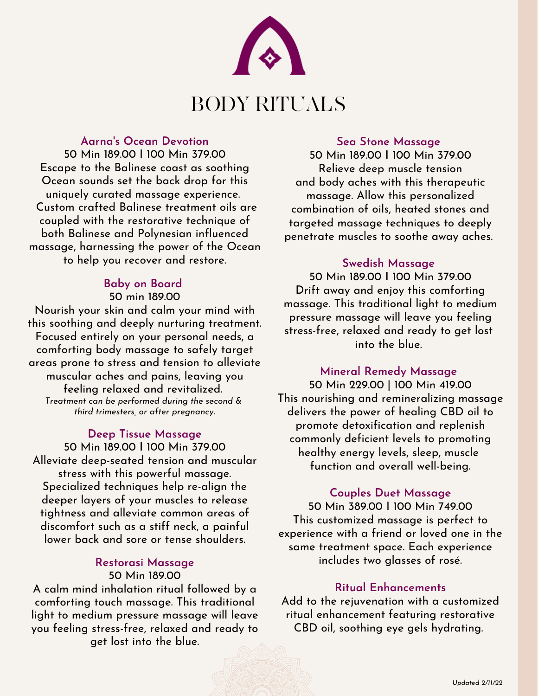

#### **Aarna's Ocean Devotion**

 50 Min 189.00 I 100 Min 379.00 Ocean sounds set the back drop for this uniquely curated massage experience. Custom crafted Balinese treatment oils are coupled with the restorative technique of both Balinese and Polynesian influenced massage, harnessing the power of the Ocean to help you recover and restore. Escape to the Balinese coast as soothing

# **Baby on Board** 50 min 189.00

 Nourish your skin and calm your mind with this soothing and deeply nurturing treatment. Focused entirely on your personal needs, a comforting body massage to safely target areas prone to stress and tension to alleviate muscular aches and pains, leaving you feeling relaxed and revitalized.  *third trimesters, or after pregnancy. Treatment can be performed during the second &*

### **Deep Tissue Massage**

 50 Min 189.00 **I** 100 Min 379.00 Alleviate deep-seated tension and muscular stress with this powerful massage. Specialized techniques help re-align the deeper layers of your muscles to release tightness and alleviate common areas of discomfort such as a stiff neck, a painful lower back and sore or tense shoulders.

#### 50 Min 189.00 **Restorasi Massage**

 A calm mind inhalation ritual followed by a comforting touch massage. This traditional light to medium pressure massage will leave you feeling stress-free, relaxed and ready to get lost into the blue.

#### **Sea Stone Massage**

 50 Min 189.00 **I** 100 Min 379.00 Relieve deep muscle tension and body aches with this therapeutic massage. Allow this personalized combination of oils, heated stones and targeted massage techniques to deeply penetrate muscles to soothe away aches.

#### **Swedish Massage**

 50 Min 189.00 **I** 100 Min 379.00 Drift away and enjoy this comforting massage. This traditional light to medium pressure massage will leave you feeling stress-free, relaxed and ready to get lost into the blue.

#### **Mineral Remedy Massage**

 50 Min 229.00 | 100 Min 419.00 This nourishing and remineralizing massage delivers the power of healing CBD oil to promote detoxification and replenish commonly deficient levels to promoting healthy energy levels, sleep, muscle function and overall well-being.

#### **Couples Duet Massage**

 50 Min 389.00 I 100 Min 749.00 This customized massage is perfect to experience with a friend or loved one in the same treatment space. Each experience includes two glasses of rosé.

#### **Ritual Enhancements**

 Add to the rejuvenation with a customized ritual enhancement featuring restorative CBD oil, soothing eye gels hydrating.